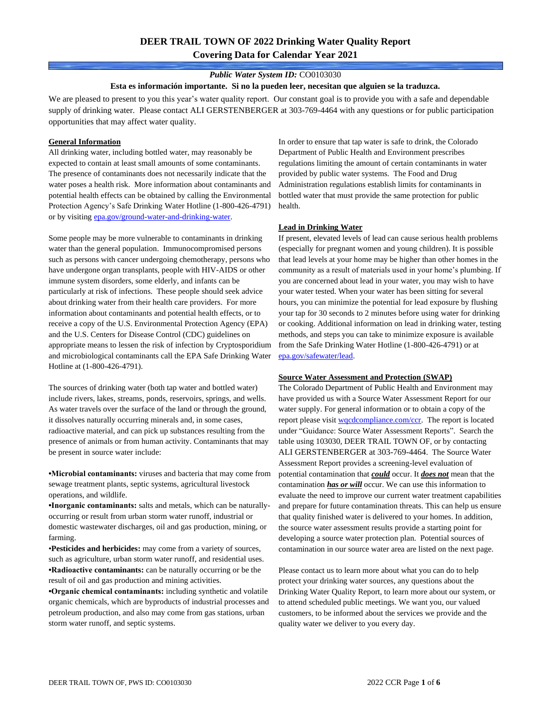# **DEER TRAIL TOWN OF 2022 Drinking Water Quality Report Covering Data for Calendar Year 2021**

### *Public Water System ID:* CO0103030

#### **Esta es información importante. Si no la pueden leer, necesitan que alguien se la traduzca.**

We are pleased to present to you this year's water quality report. Our constant goal is to provide you with a safe and dependable supply of drinking water. Please contact ALI GERSTENBERGER at 303-769-4464 with any questions or for public participation opportunities that may affect water quality.

#### **General Information**

All drinking water, including bottled water, may reasonably be expected to contain at least small amounts of some contaminants. The presence of contaminants does not necessarily indicate that the water poses a health risk. More information about contaminants and potential health effects can be obtained by calling the Environmental Protection Agency's Safe Drinking Water Hotline (1-800-426-4791) or by visiting [epa.gov/ground-water-and-drinking-water.](https://www.epa.gov/ground-water-and-drinking-water)

Some people may be more vulnerable to contaminants in drinking water than the general population. Immunocompromised persons such as persons with cancer undergoing chemotherapy, persons who have undergone organ transplants, people with HIV-AIDS or other immune system disorders, some elderly, and infants can be particularly at risk of infections. These people should seek advice about drinking water from their health care providers. For more information about contaminants and potential health effects, or to receive a copy of the U.S. Environmental Protection Agency (EPA) and the U.S. Centers for Disease Control (CDC) guidelines on appropriate means to lessen the risk of infection by Cryptosporidium and microbiological contaminants call the EPA Safe Drinking Water Hotline at (1-800-426-4791).

The sources of drinking water (both tap water and bottled water) include rivers, lakes, streams, ponds, reservoirs, springs, and wells. As water travels over the surface of the land or through the ground, it dissolves naturally occurring minerals and, in some cases, radioactive material, and can pick up substances resulting from the presence of animals or from human activity. Contaminants that may be present in source water include:

**•Microbial contaminants:** viruses and bacteria that may come from sewage treatment plants, septic systems, agricultural livestock operations, and wildlife.

**•Inorganic contaminants:** salts and metals, which can be naturallyoccurring or result from urban storm water runoff, industrial or domestic wastewater discharges, oil and gas production, mining, or farming.

•**Pesticides and herbicides:** may come from a variety of sources, such as agriculture, urban storm water runoff, and residential uses. **•Radioactive contaminants:** can be naturally occurring or be the result of oil and gas production and mining activities.

**•Organic chemical contaminants:** including synthetic and volatile organic chemicals, which are byproducts of industrial processes and petroleum production, and also may come from gas stations, urban storm water runoff, and septic systems.

In order to ensure that tap water is safe to drink, the Colorado Department of Public Health and Environment prescribes regulations limiting the amount of certain contaminants in water provided by public water systems. The Food and Drug Administration regulations establish limits for contaminants in bottled water that must provide the same protection for public health.

### **Lead in Drinking Water**

If present, elevated levels of lead can cause serious health problems (especially for pregnant women and young children). It is possible that lead levels at your home may be higher than other homes in the community as a result of materials used in your home's plumbing. If you are concerned about lead in your water, you may wish to have your water tested. When your water has been sitting for several hours, you can minimize the potential for lead exposure by flushing your tap for 30 seconds to 2 minutes before using water for drinking or cooking. Additional information on lead in drinking water, testing methods, and steps you can take to minimize exposure is available from the Safe Drinking Water Hotline (1-800-426-4791) or at [epa.gov/safewater/lead.](http://www.epa.gov/safewater/lead) 

#### **Source Water Assessment and Protection (SWAP)**

The Colorado Department of Public Health and Environment may have provided us with a Source Water Assessment Report for our water supply. For general information or to obtain a copy of the report please visit [wqcdcompliance.com/ccr.](https://wqcdcompliance.com/ccr) The report is located under "Guidance: Source Water Assessment Reports". Search the table using 103030, DEER TRAIL TOWN OF, or by contacting ALI GERSTENBERGER at 303-769-4464. The Source Water Assessment Report provides a screening-level evaluation of potential contamination that *could* occur. It *does not* mean that the contamination *has or will* occur. We can use this information to evaluate the need to improve our current water treatment capabilities and prepare for future contamination threats. This can help us ensure that quality finished water is delivered to your homes. In addition, the source water assessment results provide a starting point for developing a source water protection plan. Potential sources of contamination in our source water area are listed on the next page.

Please contact us to learn more about what you can do to help protect your drinking water sources, any questions about the Drinking Water Quality Report, to learn more about our system, or to attend scheduled public meetings. We want you, our valued customers, to be informed about the services we provide and the quality water we deliver to you every day.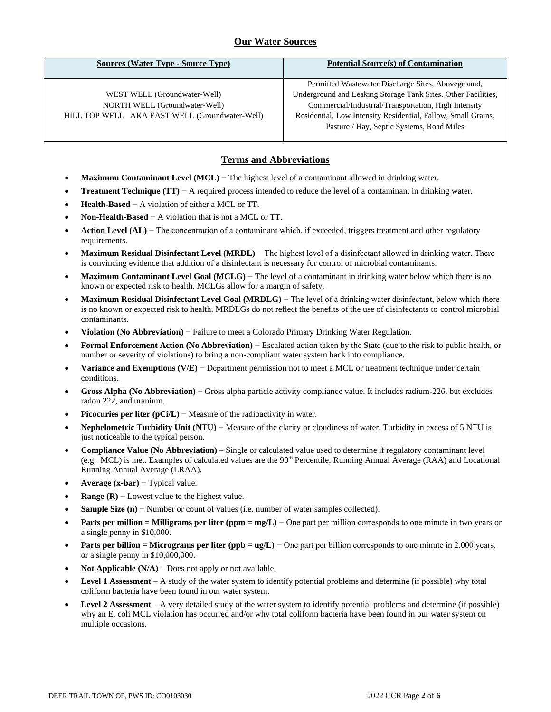# **Our Water Sources**

| <b>Sources (Water Type - Source Type)</b>      | <b>Potential Source(s) of Contamination</b>                   |
|------------------------------------------------|---------------------------------------------------------------|
|                                                |                                                               |
|                                                | Permitted Wastewater Discharge Sites, Aboveground,            |
| WEST WELL (Groundwater-Well)                   | Underground and Leaking Storage Tank Sites, Other Facilities, |
| NORTH WELL (Groundwater-Well)                  | Commercial/Industrial/Transportation, High Intensity          |
| HILL TOP WELL AKA EAST WELL (Groundwater-Well) | Residential, Low Intensity Residential, Fallow, Small Grains, |
|                                                | Pasture / Hay, Septic Systems, Road Miles                     |
|                                                |                                                               |

## **Terms and Abbreviations**

- **Maximum Contaminant Level (MCL)** − The highest level of a contaminant allowed in drinking water.
- **Treatment Technique (TT)** − A required process intended to reduce the level of a contaminant in drinking water.
- **Health-Based** − A violation of either a MCL or TT.
- **Non-Health-Based** − A violation that is not a MCL or TT.
- **Action Level (AL)** − The concentration of a contaminant which, if exceeded, triggers treatment and other regulatory requirements.
- **Maximum Residual Disinfectant Level (MRDL)** − The highest level of a disinfectant allowed in drinking water. There is convincing evidence that addition of a disinfectant is necessary for control of microbial contaminants.
- **Maximum Contaminant Level Goal (MCLG)** − The level of a contaminant in drinking water below which there is no known or expected risk to health. MCLGs allow for a margin of safety.
- **Maximum Residual Disinfectant Level Goal (MRDLG)** − The level of a drinking water disinfectant, below which there is no known or expected risk to health. MRDLGs do not reflect the benefits of the use of disinfectants to control microbial contaminants.
- **Violation (No Abbreviation)** − Failure to meet a Colorado Primary Drinking Water Regulation.
- **Formal Enforcement Action (No Abbreviation)** − Escalated action taken by the State (due to the risk to public health, or number or severity of violations) to bring a non-compliant water system back into compliance.
- **Variance and Exemptions (V/E)** − Department permission not to meet a MCL or treatment technique under certain conditions.
- **Gross Alpha (No Abbreviation)** − Gross alpha particle activity compliance value. It includes radium-226, but excludes radon 222, and uranium.
- **Picocuries per liter (pCi/L)** Measure of the radioactivity in water.
- **Nephelometric Turbidity Unit (NTU)** − Measure of the clarity or cloudiness of water. Turbidity in excess of 5 NTU is just noticeable to the typical person.
- **Compliance Value (No Abbreviation)** Single or calculated value used to determine if regulatory contaminant level (e.g. MCL) is met. Examples of calculated values are the 90<sup>th</sup> Percentile, Running Annual Average (RAA) and Locational Running Annual Average (LRAA).
- **Average (x-bar)** − Typical value.
- **Range (R)**  $-$  Lowest value to the highest value.
- **Sample Size (n)** − Number or count of values (i.e. number of water samples collected).
- **Parts per million = Milligrams per liter (ppm = mg/L)** − One part per million corresponds to one minute in two years or a single penny in \$10,000.
- **Parts per billion = Micrograms per liter (ppb = ug/L)** − One part per billion corresponds to one minute in 2,000 years, or a single penny in \$10,000,000.
- **Not Applicable**  $(N/A)$  Does not apply or not available.
- **Level 1 Assessment** A study of the water system to identify potential problems and determine (if possible) why total coliform bacteria have been found in our water system.
- **Level 2 Assessment** A very detailed study of the water system to identify potential problems and determine (if possible) why an E. coli MCL violation has occurred and/or why total coliform bacteria have been found in our water system on multiple occasions.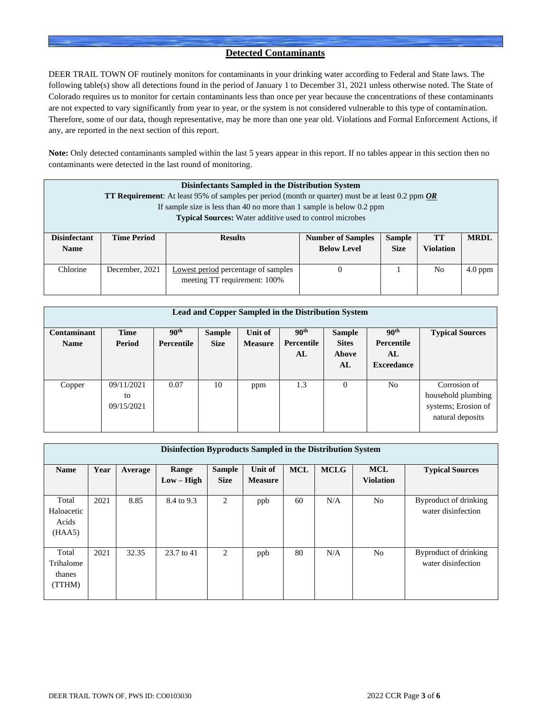## **Detected Contaminants**

DEER TRAIL TOWN OF routinely monitors for contaminants in your drinking water according to Federal and State laws. The following table(s) show all detections found in the period of January 1 to December 31, 2021 unless otherwise noted. The State of Colorado requires us to monitor for certain contaminants less than once per year because the concentrations of these contaminants are not expected to vary significantly from year to year, or the system is not considered vulnerable to this type of contamination. Therefore, some of our data, though representative, may be more than one year old. Violations and Formal Enforcement Actions, if any, are reported in the next section of this report.

**Note:** Only detected contaminants sampled within the last 5 years appear in this report. If no tables appear in this section then no contaminants were detected in the last round of monitoring.

|                                    | Disinfectants Sampled in the Distribution System<br><b>TT Requirement:</b> At least 95% of samples per period (month or quarter) must be at least 0.2 ppm $OR$<br>If sample size is less than 40 no more than 1 sample is below 0.2 ppm<br><b>Typical Sources:</b> Water additive used to control microbes |                |                                                |                              |                        |             |  |  |  |  |
|------------------------------------|------------------------------------------------------------------------------------------------------------------------------------------------------------------------------------------------------------------------------------------------------------------------------------------------------------|----------------|------------------------------------------------|------------------------------|------------------------|-------------|--|--|--|--|
| <b>Disinfectant</b><br><b>Name</b> | <b>Time Period</b>                                                                                                                                                                                                                                                                                         | <b>Results</b> | <b>Number of Samples</b><br><b>Below Level</b> | <b>Sample</b><br><b>Size</b> | TT<br><b>Violation</b> | <b>MRDL</b> |  |  |  |  |
| Chlorine                           | December, 2021<br>Lowest period percentage of samples<br>$4.0$ ppm<br>No<br>$\theta$<br>meeting TT requirement: 100%                                                                                                                                                                                       |                |                                                |                              |                        |             |  |  |  |  |

| Lead and Copper Sampled in the Distribution System |             |                  |               |                |                  |               |                   |                        |  |  |
|----------------------------------------------------|-------------|------------------|---------------|----------------|------------------|---------------|-------------------|------------------------|--|--|
| Contaminant                                        | <b>Time</b> | 90 <sup>th</sup> | <b>Sample</b> | Unit of        | 90 <sup>th</sup> | <b>Sample</b> | 90 <sup>th</sup>  | <b>Typical Sources</b> |  |  |
| <b>Name</b>                                        | Period      | Percentile       | <b>Size</b>   | <b>Measure</b> | Percentile       | <b>Sites</b>  | <b>Percentile</b> |                        |  |  |
|                                                    |             |                  |               |                | AL               | Above         | AL                |                        |  |  |
|                                                    |             |                  |               |                |                  | AL            | <b>Exceedance</b> |                        |  |  |
|                                                    |             |                  |               |                |                  |               |                   |                        |  |  |
| Copper                                             | 09/11/2021  | 0.07             | 10            | ppm            | 1.3              | $\Omega$      | No                | Corrosion of           |  |  |
|                                                    | to          |                  |               |                |                  |               |                   | household plumbing     |  |  |
|                                                    | 09/15/2021  |                  |               |                |                  |               |                   | systems; Erosion of    |  |  |
|                                                    |             |                  |               |                |                  |               |                   | natural deposits       |  |  |
|                                                    |             |                  |               |                |                  |               |                   |                        |  |  |

|                                        | Disinfection Byproducts Sampled in the Distribution System |         |                       |                              |                                  |            |             |                                |                                             |  |  |
|----------------------------------------|------------------------------------------------------------|---------|-----------------------|------------------------------|----------------------------------|------------|-------------|--------------------------------|---------------------------------------------|--|--|
| <b>Name</b>                            | Year                                                       | Average | Range<br>$Low - High$ | <b>Sample</b><br><b>Size</b> | <b>Unit of</b><br><b>Measure</b> | <b>MCL</b> | <b>MCLG</b> | <b>MCL</b><br><b>Violation</b> | <b>Typical Sources</b>                      |  |  |
| Total<br>Haloacetic<br>Acids<br>(HAA5) | 2021                                                       | 8.85    | 8.4 to 9.3            | 2                            | ppb                              | 60         | N/A         | N <sub>o</sub>                 | Byproduct of drinking<br>water disinfection |  |  |
| Total<br>Trihalome<br>thanes<br>(TTHM) | 2021                                                       | 32.35   | 23.7 to 41            | 2                            | ppb                              | 80         | N/A         | N <sub>o</sub>                 | Byproduct of drinking<br>water disinfection |  |  |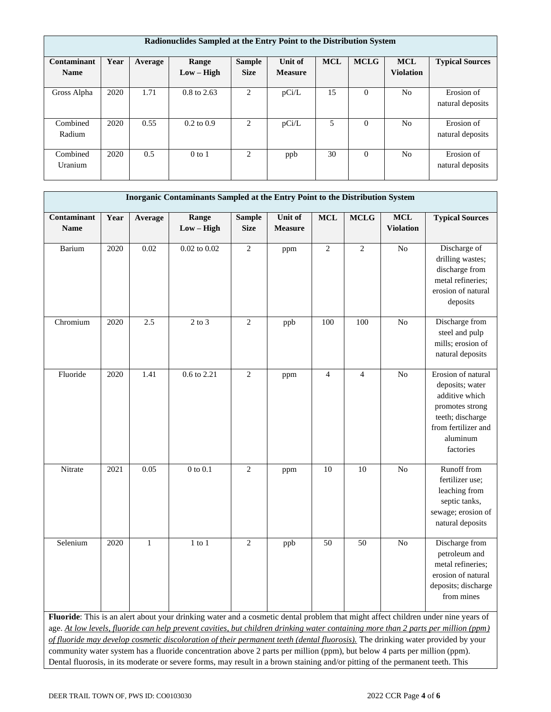|                            | Radionuclides Sampled at the Entry Point to the Distribution System |         |                        |                              |                           |            |             |                                |                                |  |  |
|----------------------------|---------------------------------------------------------------------|---------|------------------------|------------------------------|---------------------------|------------|-------------|--------------------------------|--------------------------------|--|--|
| Contaminant<br><b>Name</b> | Year                                                                | Average | Range<br>$Low - High$  | <b>Sample</b><br><b>Size</b> | Unit of<br><b>Measure</b> | <b>MCL</b> | <b>MCLG</b> | <b>MCL</b><br><b>Violation</b> | <b>Typical Sources</b>         |  |  |
| Gross Alpha                | 2020                                                                | 1.71    | $0.8 \text{ to } 2.63$ | 2                            | pCi/L                     | 15         | $\theta$    | N <sub>0</sub>                 | Erosion of<br>natural deposits |  |  |
| Combined<br>Radium         | 2020                                                                | 0.55    | $0.2 \text{ to } 0.9$  | 2                            | pCi/L                     | 5          | $\theta$    | N <sub>0</sub>                 | Erosion of<br>natural deposits |  |  |
| Combined<br>Uranium        | 2020                                                                | 0.5     | $0$ to 1               | $\mathfrak{D}$               | ppb                       | 30         | $\theta$    | N <sub>o</sub>                 | Erosion of<br>natural deposits |  |  |

|                            | Inorganic Contaminants Sampled at the Entry Point to the Distribution System                                                                                                                                                                                                                                                                                                                                                                                                                                                                                                                                                                                             |              |                       |                              |                           |                |                |                                |                                                                                                                                                |  |
|----------------------------|--------------------------------------------------------------------------------------------------------------------------------------------------------------------------------------------------------------------------------------------------------------------------------------------------------------------------------------------------------------------------------------------------------------------------------------------------------------------------------------------------------------------------------------------------------------------------------------------------------------------------------------------------------------------------|--------------|-----------------------|------------------------------|---------------------------|----------------|----------------|--------------------------------|------------------------------------------------------------------------------------------------------------------------------------------------|--|
| Contaminant<br><b>Name</b> | Year                                                                                                                                                                                                                                                                                                                                                                                                                                                                                                                                                                                                                                                                     | Average      | Range<br>$Low - High$ | <b>Sample</b><br><b>Size</b> | Unit of<br><b>Measure</b> | <b>MCL</b>     | <b>MCLG</b>    | <b>MCL</b><br><b>Violation</b> | <b>Typical Sources</b>                                                                                                                         |  |
| Barium                     | 2020                                                                                                                                                                                                                                                                                                                                                                                                                                                                                                                                                                                                                                                                     | 0.02         | $0.02$ to $0.02$      | $\overline{2}$               | ppm                       | $\mathbf{2}$   | 2              | No                             | Discharge of<br>drilling wastes;<br>discharge from<br>metal refineries;<br>erosion of natural<br>deposits                                      |  |
| Chromium                   | 2020                                                                                                                                                                                                                                                                                                                                                                                                                                                                                                                                                                                                                                                                     | 2.5          | $2$ to $3$            | $\sqrt{2}$                   | ppb                       | 100            | 100            | No                             | Discharge from<br>steel and pulp<br>mills; erosion of<br>natural deposits                                                                      |  |
| Fluoride                   | 2020                                                                                                                                                                                                                                                                                                                                                                                                                                                                                                                                                                                                                                                                     | 1.41         | 0.6 to 2.21           | $\overline{2}$               | ppm                       | $\overline{4}$ | $\overline{4}$ | N <sub>o</sub>                 | Erosion of natural<br>deposits; water<br>additive which<br>promotes strong<br>teeth; discharge<br>from fertilizer and<br>aluminum<br>factories |  |
| Nitrate                    | 2021                                                                                                                                                                                                                                                                                                                                                                                                                                                                                                                                                                                                                                                                     | 0.05         | $0$ to $0.1$          | $\overline{2}$               | ppm                       | 10             | 10             | N <sub>o</sub>                 | Runoff from<br>fertilizer use;<br>leaching from<br>septic tanks,<br>sewage; erosion of<br>natural deposits                                     |  |
| Selenium                   | 2020                                                                                                                                                                                                                                                                                                                                                                                                                                                                                                                                                                                                                                                                     | $\mathbf{1}$ | $1$ to $1$            | $\overline{2}$               | ppb                       | 50             | 50             | No                             | Discharge from<br>petroleum and<br>metal refineries;<br>erosion of natural<br>deposits; discharge<br>from mines                                |  |
|                            | Fluoride: This is an alert about your drinking water and a cosmetic dental problem that might affect children under nine years of<br>age. At low levels, fluoride can help prevent cavities, but children drinking water containing more than 2 parts per million (ppm)<br>of fluoride may develop cosmetic discoloration of their permanent teeth (dental fluorosis). The drinking water provided by your<br>community water system has a fluoride concentration above 2 parts per million (ppm), but below 4 parts per million (ppm).<br>Dental fluorosis, in its moderate or severe forms, may result in a brown staining and/or pitting of the permanent teeth. This |              |                       |                              |                           |                |                |                                |                                                                                                                                                |  |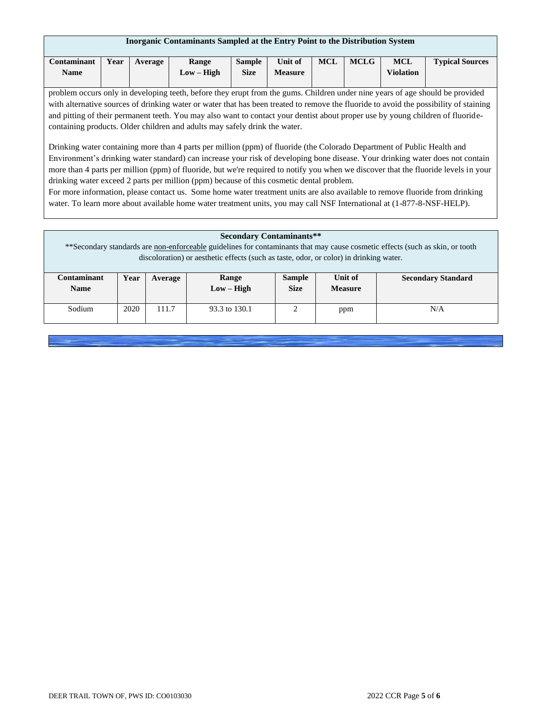| Inorganic Contaminants Sampled at the Entry Point to the Distribution System                                                                                                                                                                                                                                                                                                                                                                                                                                                                                                                                                                                                                                                                                                                                                                                                                                                                                                                                                                                                                                                                                                                                |                                                                                                                           |  |  |  |  |  |  |  |  |  |
|-------------------------------------------------------------------------------------------------------------------------------------------------------------------------------------------------------------------------------------------------------------------------------------------------------------------------------------------------------------------------------------------------------------------------------------------------------------------------------------------------------------------------------------------------------------------------------------------------------------------------------------------------------------------------------------------------------------------------------------------------------------------------------------------------------------------------------------------------------------------------------------------------------------------------------------------------------------------------------------------------------------------------------------------------------------------------------------------------------------------------------------------------------------------------------------------------------------|---------------------------------------------------------------------------------------------------------------------------|--|--|--|--|--|--|--|--|--|
| Contaminant                                                                                                                                                                                                                                                                                                                                                                                                                                                                                                                                                                                                                                                                                                                                                                                                                                                                                                                                                                                                                                                                                                                                                                                                 | <b>MCLG</b><br>Unit of<br><b>MCL</b><br><b>Sample</b><br><b>MCL</b><br><b>Typical Sources</b><br>Year<br>Range<br>Average |  |  |  |  |  |  |  |  |  |
|                                                                                                                                                                                                                                                                                                                                                                                                                                                                                                                                                                                                                                                                                                                                                                                                                                                                                                                                                                                                                                                                                                                                                                                                             |                                                                                                                           |  |  |  |  |  |  |  |  |  |
| $Low - High$<br><b>Size</b><br><b>Measure</b><br><b>Violation</b><br><b>Name</b><br>problem occurs only in developing teeth, before they erupt from the gums. Children under nine years of age should be provided<br>with alternative sources of drinking water or water that has been treated to remove the fluoride to avoid the possibility of staining<br>and pitting of their permanent teeth. You may also want to contact your dentist about proper use by young children of fluoride-<br>containing products. Older children and adults may safely drink the water.<br>Drinking water containing more than 4 parts per million (ppm) of fluoride (the Colorado Department of Public Health and<br>Environment's drinking water standard) can increase your risk of developing bone disease. Your drinking water does not contain<br>more than 4 parts per million (ppm) of fluoride, but we're required to notify you when we discover that the fluoride levels in your<br>drinking water exceed 2 parts per million (ppm) because of this cosmetic dental problem.<br>For more information, please contact us. Some home water treatment units are also available to remove fluoride from drinking |                                                                                                                           |  |  |  |  |  |  |  |  |  |

|             | <b>Secondary Contaminants**</b>                                                                                                |         |                                                                                        |               |         |                           |  |  |  |  |
|-------------|--------------------------------------------------------------------------------------------------------------------------------|---------|----------------------------------------------------------------------------------------|---------------|---------|---------------------------|--|--|--|--|
|             | ** Secondary standards are non-enforceable guidelines for contaminants that may cause cosmetic effects (such as skin, or tooth |         |                                                                                        |               |         |                           |  |  |  |  |
|             |                                                                                                                                |         | discoloration) or aesthetic effects (such as taste, odor, or color) in drinking water. |               |         |                           |  |  |  |  |
|             |                                                                                                                                |         |                                                                                        |               |         |                           |  |  |  |  |
| Contaminant | Year                                                                                                                           | Average | Range                                                                                  | <b>Sample</b> | Unit of | <b>Secondary Standard</b> |  |  |  |  |
| <b>Name</b> |                                                                                                                                |         | <b>Size</b><br>$Low - High$<br><b>Measure</b>                                          |               |         |                           |  |  |  |  |
|             |                                                                                                                                |         |                                                                                        |               |         |                           |  |  |  |  |
| Sodium      | 2020                                                                                                                           | 111.7   | 93.3 to 130.1                                                                          |               | ppm     | N/A                       |  |  |  |  |
|             |                                                                                                                                |         |                                                                                        |               |         |                           |  |  |  |  |